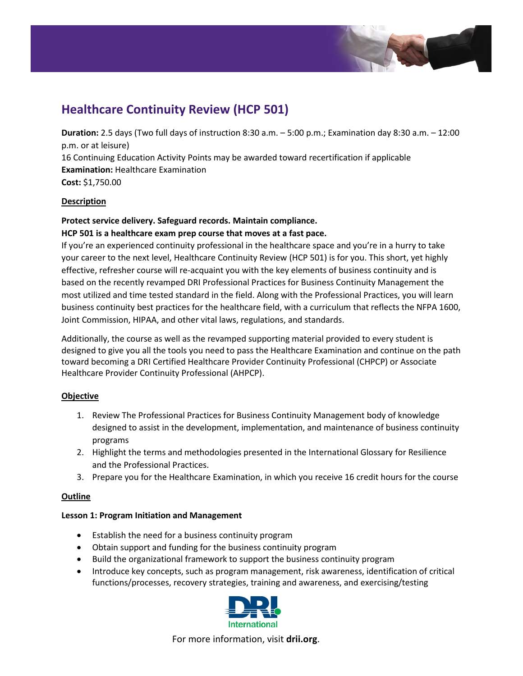

# **Healthcare Continuity Review (HCP 501)**

**Duration:** 2.5 days (Two full days of instruction 8:30 a.m. – 5:00 p.m.; Examination day 8:30 a.m. – 12:00 p.m. or at leisure) 16 Continuing Education Activity Points may be awarded toward recertification if applicable **Examination:** Healthcare Examination **Cost:** \$1,750.00

# **Description**

# **Protect service delivery. Safeguard records. Maintain compliance. HCP 501 is a healthcare exam prep course that moves at a fast pace.**

If you're an experienced continuity professional in the healthcare space and you're in a hurry to take your career to the next level, Healthcare Continuity Review (HCP 501) is for you. This short, yet highly effective, refresher course will re-acquaint you with the key elements of business continuity and is based on the recently revamped DRI Professional Practices for Business Continuity Management the most utilized and time tested standard in the field. Along with the Professional Practices, you will learn business continuity best practices for the healthcare field, with a curriculum that reflects the NFPA 1600, Joint Commission, HIPAA, and other vital laws, regulations, and standards.

Additionally, the course as well as the revamped supporting material provided to every student is designed to give you all the tools you need to pass the Healthcare Examination and continue on the path toward becoming a DRI Certified Healthcare Provider Continuity Professional (CHPCP) or Associate Healthcare Provider Continuity Professional (AHPCP).

# **Objective**

- 1. Review The Professional Practices for Business Continuity Management body of knowledge designed to assist in the development, implementation, and maintenance of business continuity programs
- 2. Highlight the terms and methodologies presented in the International Glossary for Resilience and the Professional Practices.
- 3. Prepare you for the Healthcare Examination, in which you receive 16 credit hours for the course

# **Outline**

# **Lesson 1: Program Initiation and Management**

- Establish the need for a business continuity program
- Obtain support and funding for the business continuity program
- Build the organizational framework to support the business continuity program
- Introduce key concepts, such as program management, risk awareness, identification of critical functions/processes, recovery strategies, training and awareness, and exercising/testing



For more information, visit **[drii.org](http://drii.org/)**.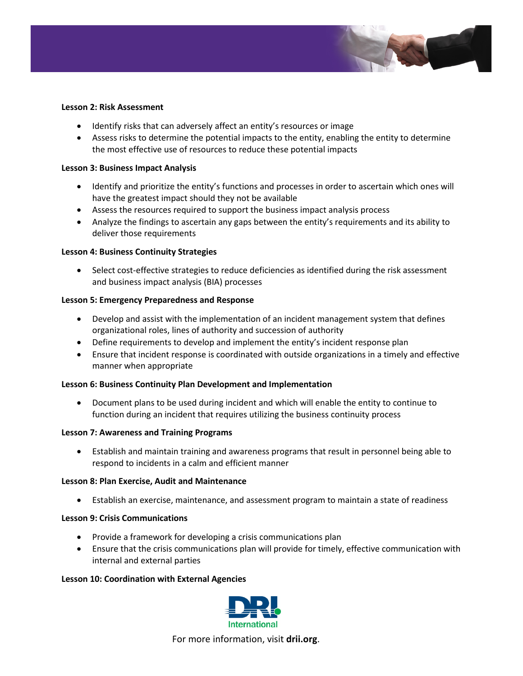

#### **Lesson 2: Risk Assessment**

- Identify risks that can adversely affect an entity's resources or image
- Assess risks to determine the potential impacts to the entity, enabling the entity to determine the most effective use of resources to reduce these potential impacts

#### **Lesson 3: Business Impact Analysis**

- Identify and prioritize the entity's functions and processes in order to ascertain which ones will have the greatest impact should they not be available
- Assess the resources required to support the business impact analysis process
- Analyze the findings to ascertain any gaps between the entity's requirements and its ability to deliver those requirements

#### **Lesson 4: Business Continuity Strategies**

• Select cost-effective strategies to reduce deficiencies as identified during the risk assessment and business impact analysis (BIA) processes

#### **Lesson 5: Emergency Preparedness and Response**

- Develop and assist with the implementation of an incident management system that defines organizational roles, lines of authority and succession of authority
- Define requirements to develop and implement the entity's incident response plan
- Ensure that incident response is coordinated with outside organizations in a timely and effective manner when appropriate

#### **Lesson 6: Business Continuity Plan Development and Implementation**

• Document plans to be used during incident and which will enable the entity to continue to function during an incident that requires utilizing the business continuity process

#### **Lesson 7: Awareness and Training Programs**

• Establish and maintain training and awareness programs that result in personnel being able to respond to incidents in a calm and efficient manner

#### **Lesson 8: Plan Exercise, Audit and Maintenance**

• Establish an exercise, maintenance, and assessment program to maintain a state of readiness

#### **Lesson 9: Crisis Communications**

- Provide a framework for developing a crisis communications plan
- Ensure that the crisis communications plan will provide for timely, effective communication with internal and external parties

#### **Lesson 10: Coordination with External Agencies**



For more information, visit **[drii.org](http://drii.org/)**.